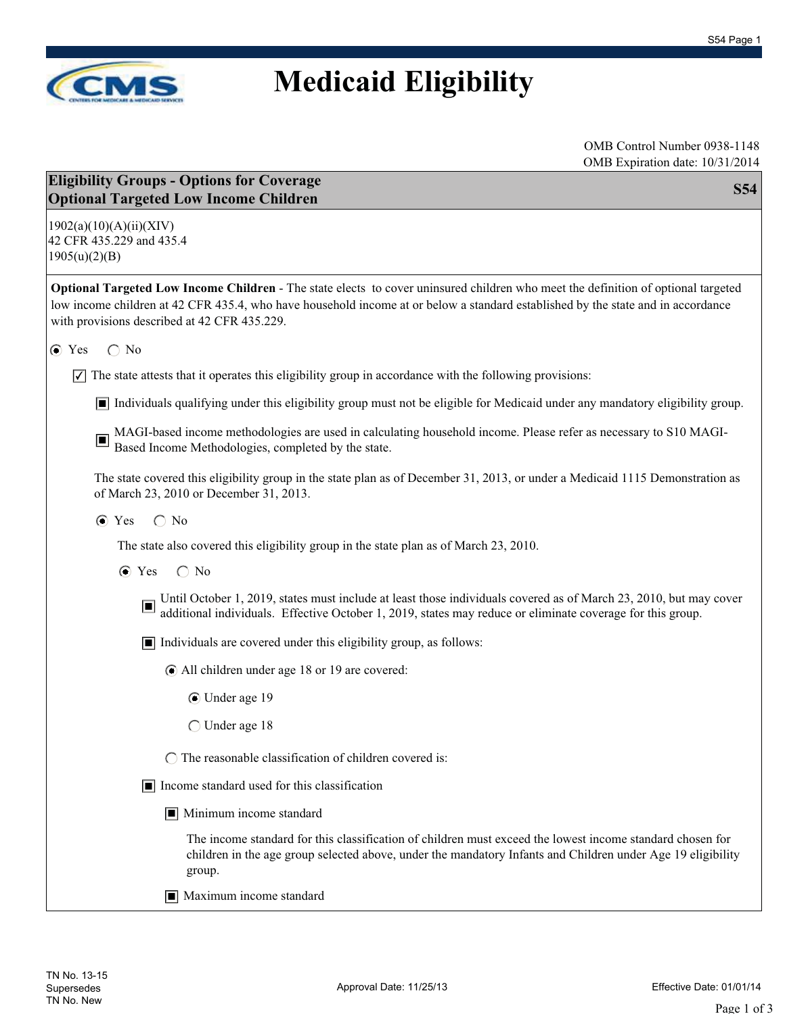

## **Medicaid Eligibility**

| <b>Eligibility Groups - Options for Coverage</b><br><b>S54</b><br><b>Optional Targeted Low Income Children</b>                                                                                                                                                                                                        |
|-----------------------------------------------------------------------------------------------------------------------------------------------------------------------------------------------------------------------------------------------------------------------------------------------------------------------|
| 1902(a)(10)(A)(ii)(XIV)<br>42 CFR 435.229 and 435.4<br>1905(u)(2)(B)                                                                                                                                                                                                                                                  |
| Optional Targeted Low Income Children - The state elects to cover uninsured children who meet the definition of optional targeted<br>low income children at 42 CFR 435.4, who have household income at or below a standard established by the state and in accordance<br>with provisions described at 42 CFR 435.229. |
| $\bigcirc$ No<br>$\odot$ Yes                                                                                                                                                                                                                                                                                          |
| The state attests that it operates this eligibility group in accordance with the following provisions:<br>$ \mathcal{V} $                                                                                                                                                                                             |
| Individuals qualifying under this eligibility group must not be eligible for Medicaid under any mandatory eligibility group.                                                                                                                                                                                          |
| MAGI-based income methodologies are used in calculating household income. Please refer as necessary to S10 MAGI-Based Income Methodologies, completed by the state.<br>$\Box$                                                                                                                                         |
| The state covered this eligibility group in the state plan as of December 31, 2013, or under a Medicaid 1115 Demonstration as<br>of March 23, 2010 or December 31, 2013.                                                                                                                                              |
| $\bigcirc$ No<br>$\odot$ Yes                                                                                                                                                                                                                                                                                          |
| The state also covered this eligibility group in the state plan as of March 23, 2010.                                                                                                                                                                                                                                 |
| $\bigcirc$ No<br>$\odot$ Yes                                                                                                                                                                                                                                                                                          |
| Until October 1, 2019, states must include at least those individuals covered as of March 23, 2010, but may cover additional individuals. Effective October 1, 2019, states may reduce or eliminate coverage for this group.                                                                                          |
| $\blacksquare$ Individuals are covered under this eligibility group, as follows:                                                                                                                                                                                                                                      |
| • All children under age 18 or 19 are covered:                                                                                                                                                                                                                                                                        |
| ◯ Under age 19                                                                                                                                                                                                                                                                                                        |
| ◯ Under age 18                                                                                                                                                                                                                                                                                                        |
| $\bigcap$ The reasonable classification of children covered is:                                                                                                                                                                                                                                                       |
| $\boxed{\blacksquare}$ Income standard used for this classification                                                                                                                                                                                                                                                   |
| $\blacksquare$ Minimum income standard                                                                                                                                                                                                                                                                                |
| The income standard for this classification of children must exceed the lowest income standard chosen for<br>children in the age group selected above, under the mandatory Infants and Children under Age 19 eligibility<br>group.                                                                                    |
| Maximum income standard                                                                                                                                                                                                                                                                                               |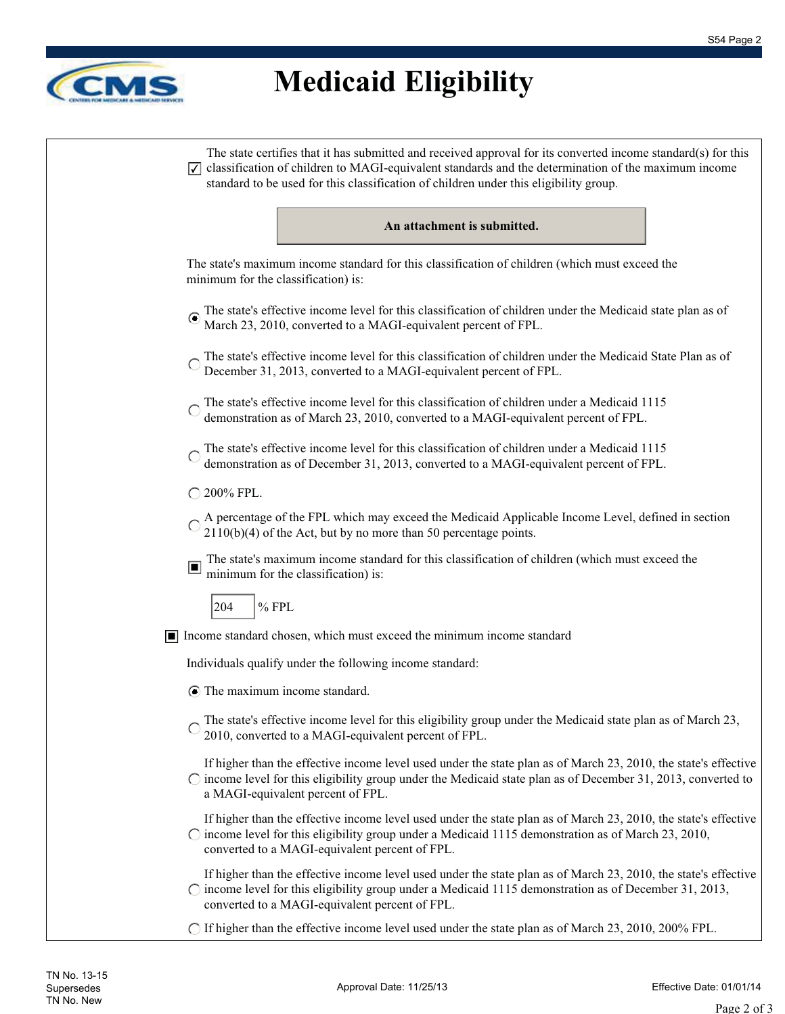

## **Medicaid Eligibility**

| The state certifies that it has submitted and received approval for its converted income standard(s) for this<br>$\sqrt{\sqrt{ }}$ classification of children to MAGI-equivalent standards and the determination of the maximum income<br>standard to be used for this classification of children under this eligibility group. |
|---------------------------------------------------------------------------------------------------------------------------------------------------------------------------------------------------------------------------------------------------------------------------------------------------------------------------------|
| An attachment is submitted.                                                                                                                                                                                                                                                                                                     |
| The state's maximum income standard for this classification of children (which must exceed the<br>minimum for the classification) is:                                                                                                                                                                                           |
| The state's effective income level for this classification of children under the Medicaid state plan as of<br>March 23, 2010, converted to a MAGI-equivalent percent of FPL.                                                                                                                                                    |
| The state's effective income level for this classification of children under the Medicaid State Plan as of<br>December 31, 2013, converted to a MAGI-equivalent percent of FPL.                                                                                                                                                 |
| The state's effective income level for this classification of children under a Medicaid 1115<br>demonstration as of March 23, 2010, converted to a MAGI-equivalent percent of FPL.                                                                                                                                              |
| The state's effective income level for this classification of children under a Medicaid 1115<br>demonstration as of December 31, 2013, converted to a MAGI-equivalent percent of FPL.                                                                                                                                           |
| ○ 200% FPL.                                                                                                                                                                                                                                                                                                                     |
| A percentage of the FPL which may exceed the Medicaid Applicable Income Level, defined in section $2110(b)(4)$ of the Act, but by no more than 50 percentage points.                                                                                                                                                            |
| The state's maximum income standard for this classification of children (which must exceed the<br>$\Box$<br>minimum for the classification) is:                                                                                                                                                                                 |
| $%$ FPL<br>204                                                                                                                                                                                                                                                                                                                  |
| Income standard chosen, which must exceed the minimum income standard                                                                                                                                                                                                                                                           |
| Individuals qualify under the following income standard:                                                                                                                                                                                                                                                                        |
| $\odot$ The maximum income standard.                                                                                                                                                                                                                                                                                            |
| The state's effective income level for this eligibility group under the Medicaid state plan as of March 23,<br>2010, converted to a MAGI-equivalent percent of FPL.                                                                                                                                                             |
| If higher than the effective income level used under the state plan as of March 23, 2010, the state's effective<br>$\circ$ income level for this eligibility group under the Medicaid state plan as of December 31, 2013, converted to<br>a MAGI-equivalent percent of FPL.                                                     |
| If higher than the effective income level used under the state plan as of March 23, 2010, the state's effective<br>$\circ$ income level for this eligibility group under a Medicaid 1115 demonstration as of March 23, 2010,<br>converted to a MAGI-equivalent percent of FPL.                                                  |
| If higher than the effective income level used under the state plan as of March 23, 2010, the state's effective                                                                                                                                                                                                                 |

- income level for this eligibility group under a Medicaid 1115 demonstration as of December 31, 2013, converted to a MAGI-equivalent percent of FPL.
- If higher than the effective income level used under the state plan as of March 23, 2010, 200% FPL.